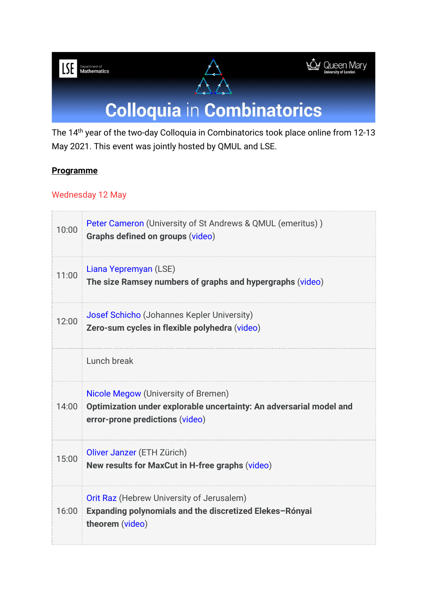



## **Colloquia in Combinatorics**

The 14th year of the two-day Colloquia in Combinatorics took place online from 12-13 May 2021. This event was jointly hosted by QMUL and LSE.

## **Programme**

## Wednesday 12 May

| 10:00 | Peter Cameron (University of St Andrews & QMUL (emeritus))<br>Graphs defined on groups (video)                                                |
|-------|-----------------------------------------------------------------------------------------------------------------------------------------------|
| 11:00 | Liana Yepremyan (LSE)<br>The size Ramsey numbers of graphs and hypergraphs (video)                                                            |
| 12:00 | Josef Schicho (Johannes Kepler University)<br>Zero-sum cycles in flexible polyhedra (video)                                                   |
|       | Lunch break                                                                                                                                   |
| 14:00 | Nicole Megow (University of Bremen)<br>Optimization under explorable uncertainty: An adversarial model and<br>error-prone predictions (video) |
| 15:00 | Oliver Janzer (ETH Zürich)<br>New results for MaxCut in H-free graphs (video)                                                                 |
| 16:00 | Orit Raz (Hebrew University of Jerusalem)<br>Expanding polynomials and the discretized Elekes-Rónyai<br>theorem (video)                       |